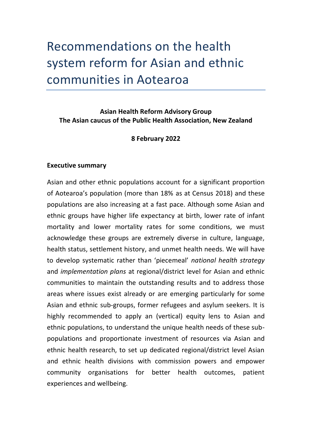# Recommendations on the health system reform for Asian and ethnic communities in Aotearoa

**Asian Health Reform Advisory Group The Asian caucus of the Public Health Association, New Zealand**

## **8 February 2022**

#### **Executive summary**

Asian and other ethnic populations account for a significant proportion of Aotearoa's population (more than 18% as at Census 2018) and these populations are also increasing at a fast pace. Although some Asian and ethnic groups have higher life expectancy at birth, lower rate of infant mortality and lower mortality rates for some conditions, we must acknowledge these groups are extremely diverse in culture, language, health status, settlement history, and unmet health needs. We will have to develop systematic rather than 'piecemeal' *national health strategy* and *implementation plans* at regional/district level for Asian and ethnic communities to maintain the outstanding results and to address those areas where issues exist already or are emerging particularly for some Asian and ethnic sub-groups, former refugees and asylum seekers. It is highly recommended to apply an (vertical) equity lens to Asian and ethnic populations, to understand the unique health needs of these subpopulations and proportionate investment of resources via Asian and ethnic health research, to set up dedicated regional/district level Asian and ethnic health divisions with commission powers and empower community organisations for better health outcomes, patient experiences and wellbeing.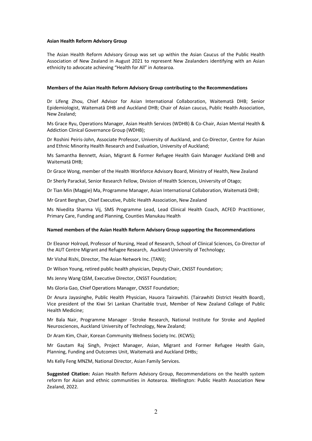#### **Asian Health Reform Advisory Group**

The Asian Health Reform Advisory Group was set up within the Asian Caucus of the Public Health Association of New Zealand in August 2021 to represent New Zealanders identifying with an Asian ethnicity to advocate achieving "Health for All" in Aotearoa.

#### **Members of the Asian Health Reform Advisory Group contributing to the Recommendations**

Dr Lifeng Zhou, Chief Advisor for Asian International Collaboration, Waitematā DHB; Senior Epidemiologist, Waitematā DHB and Auckland DHB; Chair of Asian caucus, Public Health Association, New Zealand;

Ms Grace Ryu, Operations Manager, Asian Health Services (WDHB) & Co-Chair, Asian Mental Health & Addiction Clinical Governance Group (WDHB);

Dr Roshini Peiris-John, Associate Professor, University of Auckland, and Co-Director, Centre for Asian and Ethnic Minority Health Research and Evaluation, University of Auckland;

Ms Samantha Bennett, Asian, Migrant & Former Refugee Health Gain Manager Auckland DHB and Waitematā DHB;

Dr Grace Wong, member of the Health Workforce Advisory Board, Ministry of Health, New Zealand

Dr Sherly Parackal, Senior Research Fellow, Division of Health Sciences, University of Otago;

Dr Tian Min (Maggie) Ma, Programme Manager, Asian International Collaboration, Waitematā DHB;

Mr Grant Berghan, Chief Executive, Public Health Association, New Zealand

Ms Nivedita Sharma Vij, SMS Programme Lead, Lead Clinical Health Coach, ACFED Practitioner, Primary Care, Funding and Planning, Counties Manukau Health

#### **Named members of the Asian Health Reform Advisory Group supporting the Recommendations**

Dr Eleanor Holroyd, Professor of Nursing, Head of Research, School of Clinical Sciences, Co-Director of the AUT Centre Migrant and Refugee Research, Auckland University of Technology;

Mr Vishal Rishi, Director, The Asian Network Inc. (TANI);

Dr Wilson Young, retired public health physician, Deputy Chair, CNSST Foundation;

Ms Jenny Wang QSM, Executive Director, CNSST Foundation;

Ms Gloria Gao, Chief Operations Manager, CNSST Foundation;

Dr Anura Jayasinghe, Public Health Physician, Hauora Tairawhiti. (Tairawhiti District Health Board), Vice president of the Kiwi Sri Lankan Charitable trust, Member of New Zealand College of Public Health Medicine;

Mr Bala Nair, Programme Manager - Stroke Research, National Institute for Stroke and Applied Neurosciences, Auckland University of Technology, New Zealand;

Dr Aram Kim, Chair, Korean Community Wellness Society Inc. (KCWS);

Mr Gautam Raj Singh, Project Manager, Asian, Migrant and Former Refugee Health Gain, Planning, Funding and Outcomes Unit, Waitematā and Auckland DHBs;

Ms Kelly Feng MNZM, National Director, Asian Family Services.

**Suggested Citation:** Asian Health Reform Advisory Group, Recommendations on the health system reform for Asian and ethnic communities in Aotearoa. Wellington: Public Health Association New Zealand, 2022.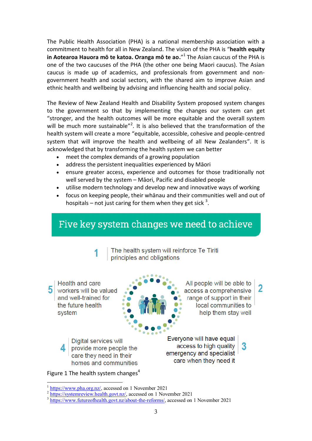The Public Health Association (PHA) is a national membership association with a commitment to health for all in New Zealand. The vision of the PHA is "**health equity in Aotearoa Hauora mō te katoa. Oranga mō te ao.**" 1 The Asian caucus of the PHA is one of the two caucuses of the PHA (the other one being Maori caucus). The Asian caucus is made up of academics, and professionals from government and nongovernment health and social sectors, with the shared aim to improve Asian and ethnic health and wellbeing by advising and influencing health and social policy.

The Review of New Zealand Health and Disability System proposed system changes to the government so that by implementing the changes our system can get "stronger, and the health outcomes will be more equitable and the overall system will be much more sustainable"<sup>2</sup>. It is also believed that the transformation of the health system will create a more "equitable, accessible, cohesive and people-centred system that will improve the health and wellbeing of all New Zealanders". It is acknowledged that by transforming the health system we can better

- meet the complex demands of a growing population
- address the persistent inequalities experienced by Māori
- ensure greater access, experience and outcomes for those traditionally not well served by the system – Māori, Pacific and disabled people
- utilise modern technology and develop new and innovative ways of working
- focus on keeping people, their whānau and their communities well and out of hospitals – not just caring for them when they get sick  $3$ .

## Five key system changes we need to achieve

The health system will reinforce Te Tiriti principles and obligations

Health and care  $\mathbf 5$  workers will be valued and well-trained for the future health system

All people will be able to access a comprehensive range of support in their local communities to help them stay well

2

Digital services will provide more people the 4 care they need in their homes and communities Everyone will have equal access to high quality

emergency and specialist care when they need it

Figure 1 The health system changes<sup>4</sup>

<sup>&</sup>lt;sup>1</sup> [https://www.pha.org.nz/,](https://www.pha.org.nz/) accessed on 1 November 2021

<sup>&</sup>lt;sup>2</sup> [https://systemreview.health.govt.nz/,](https://systemreview.health.govt.nz/) accessed on 1 November 2021

<sup>&</sup>lt;sup>3</sup> [https://www.futureofhealth.govt.nz/about-the-reforms/,](https://www.futureofhealth.govt.nz/about-the-reforms/) accessed on 1 November 2021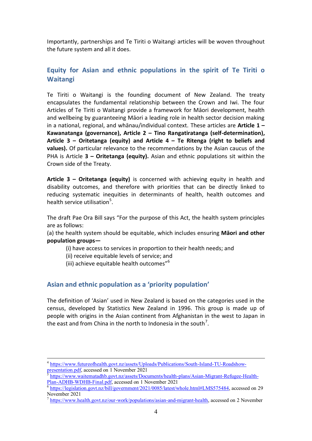Importantly, partnerships and Te Tiriti o Waitangi articles will be woven throughout the future system and all it does.

## **Equity for Asian and ethnic populations in the spirit of Te Tiriti o Waitangi**

Te Tiriti o Waitangi is the founding document of New Zealand. The treaty encapsulates the fundamental relationship between the Crown and Iwi. The four Articles of Te Tiriti o Waitangi provide a framework for Māori development, health and wellbeing by guaranteeing Māori a leading role in health sector decision making in a national, regional, and whānau/individual context. These articles are **Article 1 – Kawanatanga (governance), Article 2 – Tino Rangatiratanga (self-determination), Article 3 – Oritetanga (equity) and Article 4 – Te Ritenga (right to beliefs and values).** Of particular relevance to the recommendations by the Asian caucus of the PHA is Article **3 – Oritetanga (equity).** Asian and ethnic populations sit within the Crown side of the Treaty.

**Article 3 – Oritetanga (equity)** is concerned with achieving equity in health and disability outcomes, and therefore with priorities that can be directly linked to reducing systematic inequities in determinants of health, health outcomes and health service utilisation<sup>5</sup>.

The draft Pae Ora Bill says "For the purpose of this Act, the health system principles are as follows:

(a) the health system should be equitable, which includes ensuring **Māori and other population groups—**

- (i) have access to services in proportion to their health needs; and
- (ii) receive equitable levels of service; and
- (iii) achieve equitable health outcomes"<sup>6</sup>

 $\overline{a}$ 

## **Asian and ethnic population as a 'priority population'**

The definition of 'Asian' used in New Zealand is based on the categories used in the census, developed by Statistics New Zealand in 1996. This group is made up of people with origins in the Asian continent from Afghanistan in the west to Japan in the east and from China in the north to Indonesia in the south<sup>7</sup>.

<sup>&</sup>lt;sup>4</sup> [https://www.futureofhealth.govt.nz/assets/Uploads/Publications/South-Island-TU-Roadshow](https://www.futureofhealth.govt.nz/assets/Uploads/Publications/South-Island-TU-Roadshow-presentation.pdf)[presentation.pdf,](https://www.futureofhealth.govt.nz/assets/Uploads/Publications/South-Island-TU-Roadshow-presentation.pdf) accessed on 1 November 2021

[https://www.waitematadhb.govt.nz/assets/Documents/health-plans/Asian-Migrant-Refugee-Health-](https://www.waitematadhb.govt.nz/assets/Documents/health-plans/Asian-Migrant-Refugee-Health-Plan-ADHB-WDHB-Final.pdf)[Plan-ADHB-WDHB-Final.pdf,](https://www.waitematadhb.govt.nz/assets/Documents/health-plans/Asian-Migrant-Refugee-Health-Plan-ADHB-WDHB-Final.pdf) accessed on 1 November 2021

<sup>&</sup>lt;sup>6</sup> [https://legislation.govt.nz/bill/government/2021/0085/latest/whole.html#LMS575484,](https://legislation.govt.nz/bill/government/2021/0085/latest/whole.html#LMS575484) accessed on 29 November 2021

 $^7$  [https://www.health.govt.nz/our-work/populations/asian-and-migrant-health,](https://www.health.govt.nz/our-work/populations/asian-and-migrant-health) accessed on 2 November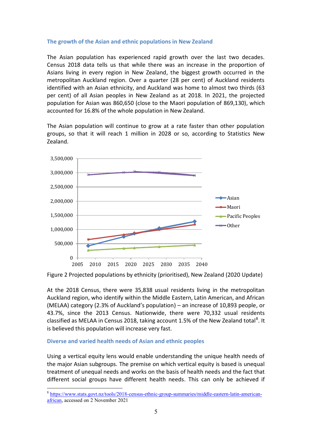#### **The growth of the Asian and ethnic populations in New Zealand**

The Asian population has experienced rapid growth over the last two decades. Census 2018 data tells us that while there was an increase in the proportion of Asians living in every region in New Zealand, the biggest growth occurred in the metropolitan Auckland region. Over a quarter (28 per cent) of Auckland residents identified with an Asian ethnicity, and Auckland was home to almost two thirds (63 per cent) of all Asian peoples in New Zealand as at 2018. In 2021, the projected population for Asian was 860,650 (close to the Maori population of 869,130), which accounted for 16.8% of the whole population in New Zealand.

The Asian population will continue to grow at a rate faster than other population groups, so that it will reach 1 million in 2028 or so, according to Statistics New Zealand.



Figure 2 Projected populations by ethnicity (prioritised), New Zealand (2020 Update)

At the 2018 Census, there were 35,838 usual residents living in the metropolitan Auckland region, who identify within the Middle Eastern, Latin American, and African (MELAA) category (2.3% of Auckland's population) – an increase of 10,893 people, or 43.7%, since the 2013 Census. Nationwide, there were 70,332 usual residents classified as MELAA in Census 2018, taking account 1.5% of the New Zealand total<sup>8</sup>. It is believed this population will increase very fast.

#### **Diverse and varied health needs of Asian and ethnic peoples**

Using a vertical equity lens would enable understanding the unique health needs of the major Asian subgroups. The premise on which vertical equity is based is unequal treatment of unequal needs and works on the basis of health needs and the fact that different social groups have different health needs. This can only be achieved if

<sup>&</sup>lt;sup>8</sup> [https://www.stats.govt.nz/tools/2018-census-ethnic-group-summaries/middle-eastern-latin-american](https://www.stats.govt.nz/tools/2018-census-ethnic-group-summaries/middle-eastern-latin-american-african)[african,](https://www.stats.govt.nz/tools/2018-census-ethnic-group-summaries/middle-eastern-latin-american-african) accessed on 2 November 2021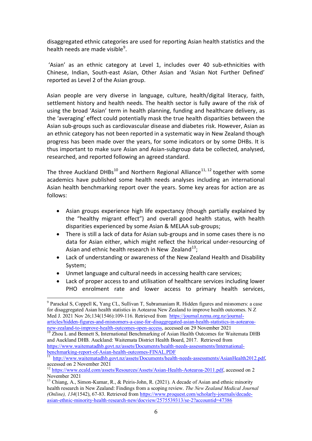disaggregated ethnic categories are used for reporting Asian health statistics and the health needs are made visible<sup>9</sup>.

'Asian' as an ethnic category at Level 1, includes over 40 sub-ethnicities with Chinese, Indian, South-east Asian, Other Asian and 'Asian Not Further Defined' reported as Level 2 of the Asian group.

Asian people are very diverse in language, culture, health/digital literacy, faith, settlement history and health needs. The health sector is fully aware of the risk of using the broad 'Asian' term in health planning, funding and healthcare delivery, as the 'averaging' effect could potentially mask the true health disparities between the Asian sub-groups such as cardiovascular disease and diabetes risk. However, Asian as an ethnic category has not been reported in a systematic way in New Zealand though progress has been made over the years, for some indicators or by some DHBs. It is thus important to make sure Asian and Asian-subgroup data be collected, analysed, researched, and reported following an agreed standard.

The three Auckland DHBs<sup>10</sup> and Northern Regional Alliance<sup>11, 12</sup> together with some academics have published some health needs analyses including an international Asian health benchmarking report over the years. Some key areas for action are as follows:

- Asian groups experience high life expectancy (though partially explained by the "healthy migrant effect") and overall good health status, with health disparities experienced by some Asian & MELAA sub-groups;
- There is still a lack of data for Asian sub-groups and in some cases there is no data for Asian either, which might reflect the historical under-resourcing of Asian and ethnic health research in New Zealand<sup>13</sup>;
- Lack of understanding or awareness of the New Zealand Health and Disability System;
- Unmet language and cultural needs in accessing health care services;
- Lack of proper access to and utilisation of healthcare services including lower PHO enrolment rate and lower access to primary health services,

 $\overline{a}$ <sup>9</sup> Parackal S, Coppell K, Yang CL, Sullivan T, Subramaniam R. Hidden figures and misnomers: a case for disaggregated Asian health statistics in Aotearoa New Zealand to improve health outcomes. N Z Med J. 2021 Nov 26;134(1546):109-116. Retrieved from [https://journal.nzma.org.nz/journal](https://journal.nzma.org.nz/journal-articles/hidden-figures-and-misnomers-a-case-for-disaggregated-asian-health-statistics-in-aotearoa-new-zealand-to-improve-health-outcomes-open-access)[articles/hidden-figures-and-misnomers-a-case-for-disaggregated-asian-health-statistics-in-aotearoa](https://journal.nzma.org.nz/journal-articles/hidden-figures-and-misnomers-a-case-for-disaggregated-asian-health-statistics-in-aotearoa-new-zealand-to-improve-health-outcomes-open-access)[new-zealand-to-improve-health-outcomes-open-access,](https://journal.nzma.org.nz/journal-articles/hidden-figures-and-misnomers-a-case-for-disaggregated-asian-health-statistics-in-aotearoa-new-zealand-to-improve-health-outcomes-open-access) accessed on 29 November 2021

<sup>10</sup> Zhou L and Bennett S, International Benchmarking of Asian Health Outcomes for Waitemata DHB and Auckland DHB. Auckland: Waitemata District Health Board, 2017. Retrieved from [https://www.waitematadhb.govt.nz/assets/Documents/health-needs-assessments/International](https://www.waitematadhb.govt.nz/assets/Documents/health-needs-assessments/International-benchmarking-report-of-Asian-health-outcomes-FINAL.PDF)[benchmarking-report-of-Asian-health-outcomes-FINAL.PDF](https://www.waitematadhb.govt.nz/assets/Documents/health-needs-assessments/International-benchmarking-report-of-Asian-health-outcomes-FINAL.PDF)

<sup>&</sup>lt;sup>11</sup> [http://www.waitematadhb.govt.nz/assets/Documents/health-needs-assessments/AsianHealth2012.pdf,](http://www.waitematadhb.govt.nz/assets/Documents/health-needs-assessments/AsianHealth2012.pdf) accessed on 2 November 2021

<sup>12</sup> [https://www.ecald.com/assets/Resources/Assets/Asian-Health-Aotearoa-2011.pdf,](https://www.ecald.com/assets/Resources/Assets/Asian-Health-Aotearoa-2011.pdf) accessed on 2 November 2021

<sup>&</sup>lt;sup>13</sup> Chiang, A., Simon-Kumar, R., & Peiris-John, R. (2021). A decade of Asian and ethnic minority health research in New Zealand: Findings from a scoping review. *The New Zealand Medical Journal (Online), 134*(1542), 67-83. Retrieved from [https://www.proquest.com/scholarly-journals/decade](https://www.proquest.com/scholarly-journals/decade-asian-ethnic-minority-health-research-new/docview/2575539313/se-2?accountid=47386)[asian-ethnic-minority-health-research-new/docview/2575539313/se-2?accountid=47386](https://www.proquest.com/scholarly-journals/decade-asian-ethnic-minority-health-research-new/docview/2575539313/se-2?accountid=47386)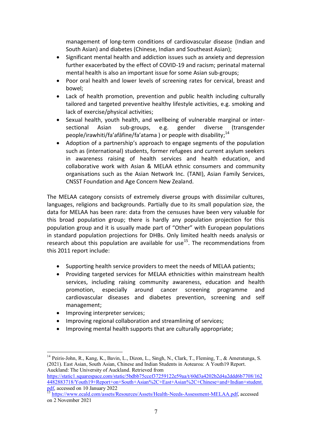management of long-term conditions of cardiovascular disease (Indian and South Asian) and diabetes (Chinese, Indian and Southeast Asian);

- Significant mental health and addiction issues such as anxiety and depression further exacerbated by the effect of COVID-19 and racism; perinatal maternal mental health is also an important issue for some Asian sub-groups;
- Poor oral health and lower levels of screening rates for cervical, breast and bowel;
- Lack of health promotion, prevention and public health including culturally tailored and targeted preventive healthy lifestyle activities, e.g. smoking and lack of exercise/physical activities;
- Sexual health, youth health, and wellbeing of vulnerable marginal or intersectional Asian sub-groups, e.g. gender diverse (transgender people/irawhiti/fa'afāfine/fa'atama ) or people with disability;<sup>14</sup>
- Adoption of a partnership's approach to engage segments of the population such as (international) students, former refugees and current asylum seekers in awareness raising of health services and health education, and collaborative work with Asian & MELAA ethnic consumers and community organisations such as the Asian Network Inc. (TANI), Asian Family Services, CNSST Foundation and Age Concern New Zealand.

The MELAA category consists of extremely diverse groups with dissimilar cultures, languages, religions and backgrounds. Partially due to its small population size, the data for MELAA has been rare: data from the censuses have been very valuable for this broad population group; there is hardly any population projection for this population group and it is usually made part of "Other" with European populations in standard population projections for DHBs. Only limited health needs analysis or research about this population are available for use<sup>15</sup>. The recommendations from this 2011 report include:

- Supporting health service providers to meet the needs of MELAA patients;
- Providing targeted services for MELAA ethnicities within mainstream health services, including raising community awareness, education and health promotion, especially around cancer screening programme and cardiovascular diseases and diabetes prevention, screening and self management;
- Improving interpreter services;

 $\overline{a}$ 

- Improving regional collaboration and streamlining of services;
- Improving mental health supports that are culturally appropriate;

<sup>&</sup>lt;sup>14</sup> Peiris-John, R., Kang, K., Bavin, L., Dizon, L., Singh, N., Clark, T., Fleming, T., & Ameratunga, S. (2021). East Asian, South Asian, Chinese and Indian Students in Aotearoa: A Youth19 Report. Auckland: The University of Auckland. Retrieved from

[https://static1.squarespace.com/static/5bdbb75ccef37259122e59aa/t/60d3a4202b2d4a2ddd6b7708/162](https://static1.squarespace.com/static/5bdbb75ccef37259122e59aa/t/60d3a4202b2d4a2ddd6b7708/1624482883718/Youth19+Report+on+South+Asian%2C+East+Asian%2C+Chinese+and+Indian+student.pdf) [4482883718/Youth19+Report+on+South+Asian%2C+East+Asian%2C+Chinese+and+Indian+student.](https://static1.squarespace.com/static/5bdbb75ccef37259122e59aa/t/60d3a4202b2d4a2ddd6b7708/1624482883718/Youth19+Report+on+South+Asian%2C+East+Asian%2C+Chinese+and+Indian+student.pdf)  $\underbrace{\overbrace{\text{pdf}}}_{15}$  accessed on 10 January 2022

<sup>15</sup> [https://www.ecald.com/assets/Resources/Assets/Health-Needs-Assessment-MELAA.pdf,](https://www.ecald.com/assets/Resources/Assets/Health-Needs-Assessment-MELAA.pdf) accessed on 2 November 2021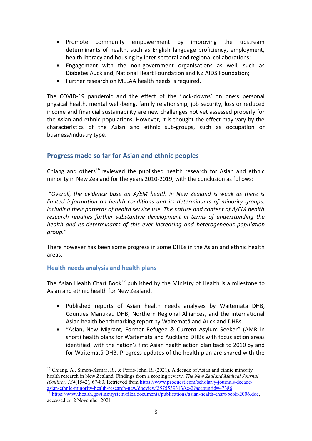- Promote community empowerment by improving the upstream determinants of health, such as English language proficiency, employment, health literacy and housing by inter-sectoral and regional collaborations;
- Engagement with the non-government organisations as well, such as Diabetes Auckland, National Heart Foundation and NZ AIDS Foundation;
- Further research on MELAA health needs is required.

The COVID-19 pandemic and the effect of the 'lock-downs' on one's personal physical health, mental well-being, family relationship, job security, loss or reduced income and financial sustainability are new challenges not yet assessed properly for the Asian and ethnic populations. However, it is thought the effect may vary by the characteristics of the Asian and ethnic sub-groups, such as occupation or business/industry type.

## **Progress made so far for Asian and ethnic peoples**

Chiang and others<sup>16</sup> reviewed the published health research for Asian and ethnic minority in New Zealand for the years 2010-2019, with the conclusion as follows:

"*Overall, the evidence base on A/EM health in New Zealand is weak as there is limited information on health conditions and its determinants of minority groups, including their patterns of health service use. The nature and content of A/EM health research requires further substantive development in terms of understanding the health and its determinants of this ever increasing and heterogeneous population group."* 

There however has been some progress in some DHBs in the Asian and ethnic health areas.

#### **Health needs analysis and health plans**

 $\overline{a}$ 

The Asian Health Chart Book<sup>17</sup> published by the Ministry of Health is a milestone to Asian and ethnic health for New Zealand.

- Published reports of Asian health needs analyses by Waitematā DHB, Counties Manukau DHB, Northern Regional Alliances, and the international Asian health benchmarking report by Waitematā and Auckland DHBs.
- "Asian, New Migrant, Former Refugee & Current Asylum Seeker" (AMR in short) health plans for Waitematā and Auckland DHBs with focus action areas identified, with the nation's first Asian health action plan back to 2010 by and for Waitematā DHB. Progress updates of the health plan are shared with the

<sup>&</sup>lt;sup>16</sup> Chiang, A., Simon-Kumar, R., & Peiris-John, R. (2021). A decade of Asian and ethnic minority health research in New Zealand: Findings from a scoping review. *The New Zealand Medical Journal (Online), 134*(1542), 67-83. Retrieved from [https://www.proquest.com/scholarly-journals/decade](https://www.proquest.com/scholarly-journals/decade-asian-ethnic-minority-health-research-new/docview/2575539313/se-2?accountid=47386)[asian-ethnic-minority-health-research-new/docview/2575539313/se-2?accountid=47386](https://www.proquest.com/scholarly-journals/decade-asian-ethnic-minority-health-research-new/docview/2575539313/se-2?accountid=47386)

<sup>17</sup> [https://www.health.govt.nz/system/files/documents/publications/asian-health-chart-book-2006.doc,](https://www.health.govt.nz/system/files/documents/publications/asian-health-chart-book-2006.doc) accessed on 2 November 2021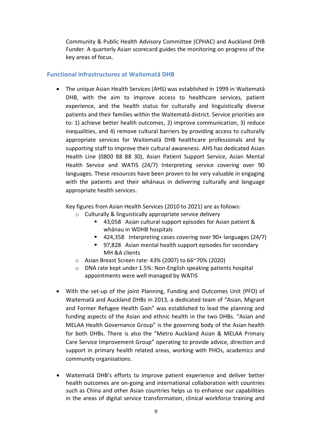Community & Public Health Advisory Committee (CPHAC) and Auckland DHB Funder. A quarterly Asian scorecard guides the monitoring on progress of the key areas of focus.

#### **Functional infrastructures at Waitematā DHB**

 The unique Asian Health Services (AHS) was established in 1999 in Waitematā DHB, with the aim to improve access to healthcare services, patient experience, and the health status for culturally and linguistically diverse patients and their families within the Waitematā district. Service priorities are to: 1) achieve better health outcomes, 2) improve communication, 3) reduce inequalities, and 4) remove cultural barriers by providing access to culturally appropriate services for Waitematā DHB healthcare professionals and by supporting staff to improve their cultural awareness. AHS has dedicated Asian Health Line (0800 88 88 30), Asian Patient Support Service, Asian Mental Health Service and WATIS (24/7) Interpreting service covering over 90 languages. These resources have been proven to be very valuable in engaging with the patients and their whānaus in delivering culturally and language appropriate health services.

Key figures from Asian Health Services (2010 to 2021) are as follows:

- o Culturally & linguistically appropriate service delivery
	- 43,058 Asian cultural support episodes for Asian patient & whānau in WDHB hospitals
	- 424,358 Interpreting cases covering over 90+ languages (24/7)
	- 97,828 Asian mental health support episodes for secondary MH &A clients
- o Asian Breast Screen rate: 43% (2007) to 66~70% (2020)
- o DNA rate kept under 1.5%: Non-English speaking patients hospital appointments were well managed by WATIS
- With the set-up of the joint Planning, Funding and Outcomes Unit (PFO) of Waitematā and Auckland DHBs in 2013, a dedicated team of "Asian, Migrant and Former Refugee Health Gain" was established to lead the planning and funding aspects of the Asian and ethnic health in the two DHBs. "Asian and MELAA Health Governance Group" is the governing body of the Asian health for both DHBs. There is also the "Metro Auckland Asian & MELAA Primary Care Service Improvement Group" operating to provide advice, direction and support in primary health related areas, working with PHOs, academics and community organisations.
- Waitematā DHB's efforts to improve patient experience and deliver better health outcomes are on-going and international collaboration with countries such as China and other Asian countries helps us to enhance our capabilities in the areas of digital service transformation, clinical workforce training and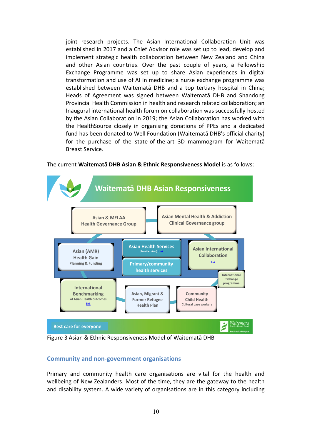joint research projects. The Asian International Collaboration Unit was established in 2017 and a Chief Advisor role was set up to lead, develop and implement strategic health collaboration between New Zealand and China and other Asian countries. Over the past couple of years, a Fellowship Exchange Programme was set up to share Asian experiences in digital transformation and use of AI in medicine; a nurse exchange programme was established between Waitematā DHB and a top tertiary hospital in China; Heads of Agreement was signed between Waitematā DHB and Shandong Provincial Health Commission in health and research related collaboration; an Inaugural international health forum on collaboration was successfully hosted by the Asian Collaboration in 2019; the Asian Collaboration has worked with the HealthSource closely in organising donations of PPEs and a dedicated fund has been donated to Well Foundation (Waitematā DHB's official charity) for the purchase of the state-of-the-art 3D mammogram for Waitematā Breast Service.



The current **Waitematā DHB Asian & Ethnic Responsiveness Model** is as follows:

Figure 3 Asian & Ethnic Responsiveness Model of Waitematā DHB

#### **Community and non-government organisations**

Primary and community health care organisations are vital for the health and wellbeing of New Zealanders. Most of the time, they are the gateway to the health and disability system. A wide variety of organisations are in this category including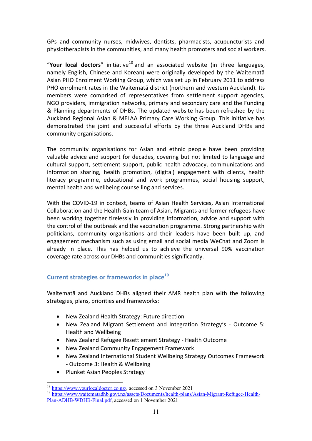GPs and community nurses, midwives, dentists, pharmacists, acupuncturists and physiotherapists in the communities, and many health promoters and social workers.

"**Your local doctors**" initiative<sup>18</sup> and an associated website (in three languages, namely English, Chinese and Korean) were originally developed by the Waitematā Asian PHO Enrolment Working Group, which was set up in February 2011 to address PHO enrolment rates in the Waitematā district (northern and western Auckland). Its members were comprised of representatives from settlement support agencies, NGO providers, immigration networks, primary and secondary care and the Funding & Planning departments of DHBs. The updated website has been refreshed by the Auckland Regional Asian & MELAA Primary Care Working Group. This initiative has demonstrated the joint and successful efforts by the three Auckland DHBs and community organisations.

The community organisations for Asian and ethnic people have been providing valuable advice and support for decades, covering but not limited to language and cultural support, settlement support, public health advocacy, communications and information sharing, health promotion, (digital) engagement with clients, health literacy programme, educational and work programmes, social housing support, mental health and wellbeing counselling and services.

With the COVID-19 in context, teams of Asian Health Services, Asian International Collaboration and the Health Gain team of Asian, Migrants and former refugees have been working together tirelessly in providing information, advice and support with the control of the outbreak and the vaccination programme. Strong partnership with politicians, community organisations and their leaders have been built up, and engagement mechanism such as using email and social media WeChat and Zoom is already in place. This has helped us to achieve the universal 90% vaccination coverage rate across our DHBs and communities significantly.

## **Current strategies or frameworks in place<sup>19</sup>**

Waitematā and Auckland DHBs aligned their AMR health plan with the following strategies, plans, priorities and frameworks:

- New Zealand Health Strategy: Future direction
- New Zealand Migrant Settlement and Integration Strategy's Outcome 5: Health and Wellbeing
- New Zealand Refugee Resettlement Strategy Health Outcome
- New Zealand Community Engagement Framework
- New Zealand International Student Wellbeing Strategy Outcomes Framework - Outcome 3: Health & Wellbeing
- Plunket Asian Peoples Strategy

 $\overline{a}$ 

<sup>18</sup> [https://www.yourlocaldoctor.co.nz/,](https://www.yourlocaldoctor.co.nz/) accessed on 3 November 2021

<sup>&</sup>lt;sup>19</sup> [https://www.waitematadhb.govt.nz/assets/Documents/health-plans/Asian-Migrant-Refugee-Health-](https://www.waitematadhb.govt.nz/assets/Documents/health-plans/Asian-Migrant-Refugee-Health-Plan-ADHB-WDHB-Final.pdf)[Plan-ADHB-WDHB-Final.pdf,](https://www.waitematadhb.govt.nz/assets/Documents/health-plans/Asian-Migrant-Refugee-Health-Plan-ADHB-WDHB-Final.pdf) accessed on 1 November 2021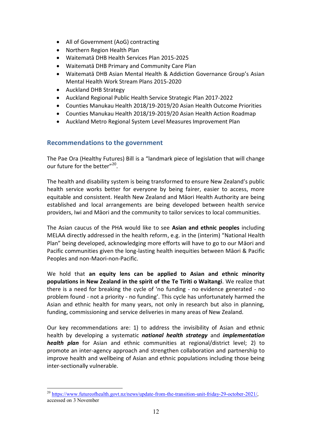- All of Government (AoG) contracting
- Northern Region Health Plan
- Waitematā DHB Health Services Plan 2015-2025
- Waitematā DHB Primary and Community Care Plan
- Waitematā DHB Asian Mental Health & Addiction Governance Group's Asian Mental Health Work Stream Plans 2015-2020
- Auckland DHB Strategy
- Auckland Regional Public Health Service Strategic Plan 2017-2022
- Counties Manukau Health 2018/19-2019/20 Asian Health Outcome Priorities
- Counties Manukau Health 2018/19-2019/20 Asian Health Action Roadmap
- Auckland Metro Regional System Level Measures Improvement Plan

## **Recommendations to the government**

The Pae Ora (Healthy Futures) Bill is a "landmark piece of legislation that will change our future for the better"<sup>20</sup>.

The health and disability system is being transformed to ensure New Zealand's public health service works better for everyone by being fairer, easier to access, more equitable and consistent. Health New Zealand and Māori Health Authority are being established and local arrangements are being developed between health service providers, Iwi and Māori and the community to tailor services to local communities.

The Asian caucus of the PHA would like to see **Asian and ethnic peoples** including MELAA directly addressed in the health reform, e.g. in the (interim) "National Health Plan" being developed, acknowledging more efforts will have to go to our Māori and Pacific communities given the long-lasting health inequities between Māori & Pacific Peoples and non-Maori-non-Pacific.

We hold that **an equity lens can be applied to Asian and ethnic minority populations in New Zealand in the spirit of the Te Tiriti o Waitangi**. We realize that there is a need for breaking the cycle of 'no funding - no evidence generated - no problem found - not a priority - no funding'. This cycle has unfortunately harmed the Asian and ethnic health for many years, not only in research but also in planning, funding, commissioning and service deliveries in many areas of New Zealand.

Our key recommendations are: 1) to address the invisibility of Asian and ethnic health by developing a systematic *national health strategy* and *implementation health plan* for Asian and ethnic communities at regional/district level; 2) to promote an inter-agency approach and strengthen collaboration and partnership to improve health and wellbeing of Asian and ethnic populations including those being inter-sectionally vulnerable.

 $\overline{a}$ <sup>20</sup> [https://www.futureofhealth.govt.nz/news/update-from-the-transition-unit-friday-29-october-2021/,](https://www.futureofhealth.govt.nz/news/update-from-the-transition-unit-friday-29-october-2021/) accessed on 3 November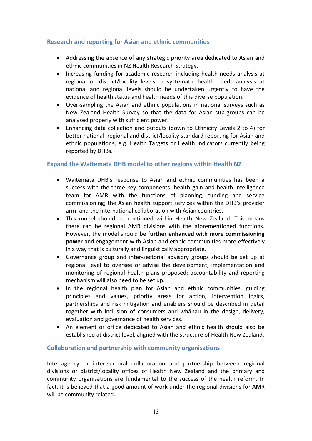#### **Research and reporting for Asian and ethnic communities**

- Addressing the absence of any strategic priority area dedicated to Asian and ethnic communities in NZ Health Research Strategy.
- Increasing funding for academic research including health needs analysis at regional or district/locality levels; a systematic health needs analysis at national and regional levels should be undertaken urgently to have the evidence of health status and health needs of this diverse population.
- Over-sampling the Asian and ethnic populations in national surveys such as New Zealand Health Survey so that the data for Asian sub-groups can be analysed properly with sufficient power.
- Enhancing data collection and outputs (down to Ethnicity Levels 2 to 4) for better national, regional and district/locality standard reporting for Asian and ethnic populations, e.g. Health Targets or Health Indicators currently being reported by DHBs.

#### **Expand the Waitematā DHB model to other regions within Health NZ**

- Waitematā DHB's response to Asian and ethnic communities has been a success with the three key components: health gain and health intelligence team for AMR with the functions of planning, funding and service commissioning; the Asian health support services within the DHB's provider arm; and the international collaboration with Asian countries.
- This model should be continued within Health New Zealand. This means there can be regional AMR divisions with the aforementioned functions. However, the model should be **further enhanced with more commissioning power** and engagement with Asian and ethnic communities more effectively in a way that is culturally and linguistically appropriate.
- Governance group and inter-sectorial advisory groups should be set up at regional level to oversee or advise the development, implementation and monitoring of regional health plans proposed; accountability and reporting mechanism will also need to be set up.
- In the regional health plan for Asian and ethnic communities, guiding principles and values, priority areas for action, intervention logics, partnerships and risk mitigation and enablers should be described in detail together with inclusion of consumers and whānau in the design, delivery, evaluation and governance of health services.
- An element or office dedicated to Asian and ethnic health should also be established at district level, aligned with the structure of Health New Zealand.

#### **Collaboration and partnership with community organisations**

Inter-agency or inter-sectoral collaboration and partnership between regional divisions or district/locality offices of Health New Zealand and the primary and community organisations are fundamental to the success of the health reform. In fact, it is believed that a good amount of work under the regional divisions for AMR will be community related.